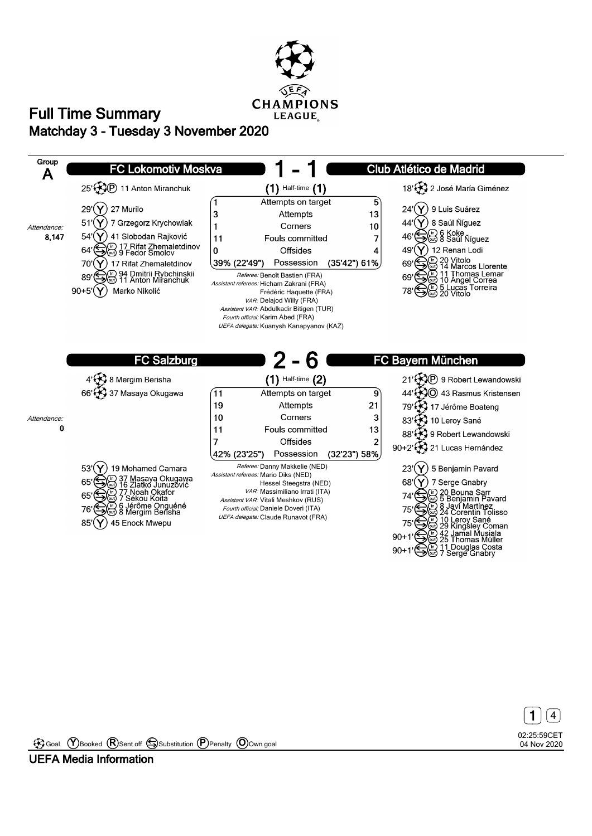





Goal **Y** Booked **R** Sent off Substitution **P** Penalty **O** Own goal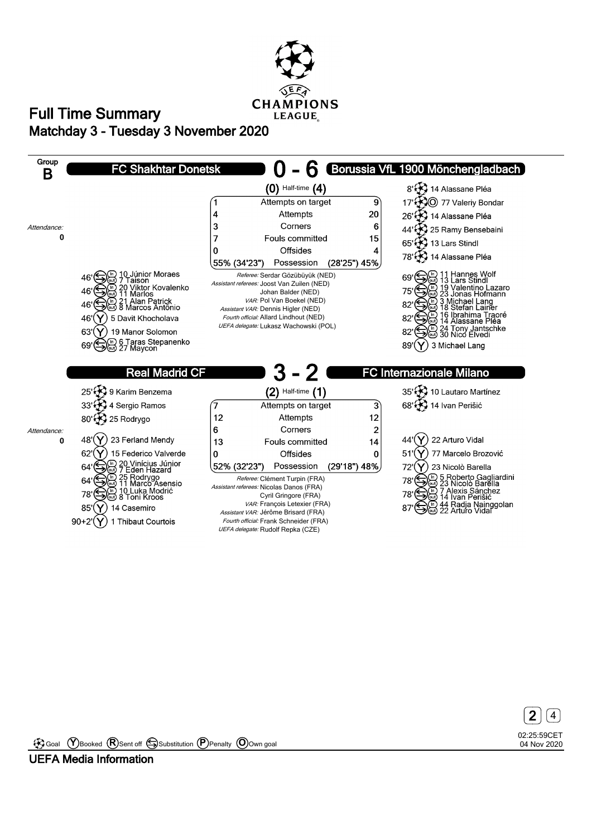





Goal **Y** Booked **R** Sent off Substitution **P** Penalty **O** Own goal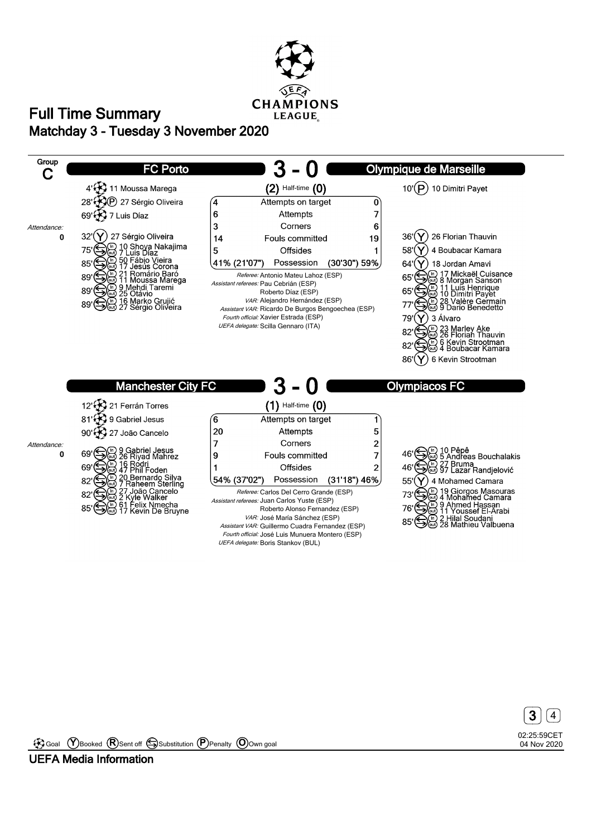





Goal **Y** Booked **R** Sent off Substitution **P** Penalty **O** Own goal